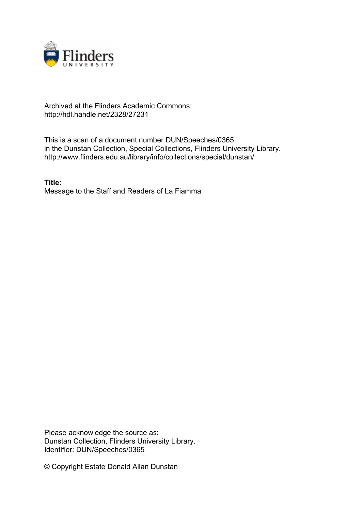

## Archived at the Flinders Academic Commons: http://hdl.handle.net/2328/27231

This is a scan of a document number DUN/Speeches/0365 in the Dunstan Collection, Special Collections, Flinders University Library. http://www.flinders.edu.au/library/info/collections/special/dunstan/

**Title:** Message to the Staff and Readers of La Fiamma

Please acknowledge the source as: Dunstan Collection, Flinders University Library. Identifier: DUN/Speeches/0365

© Copyright Estate Donald Allan Dunstan